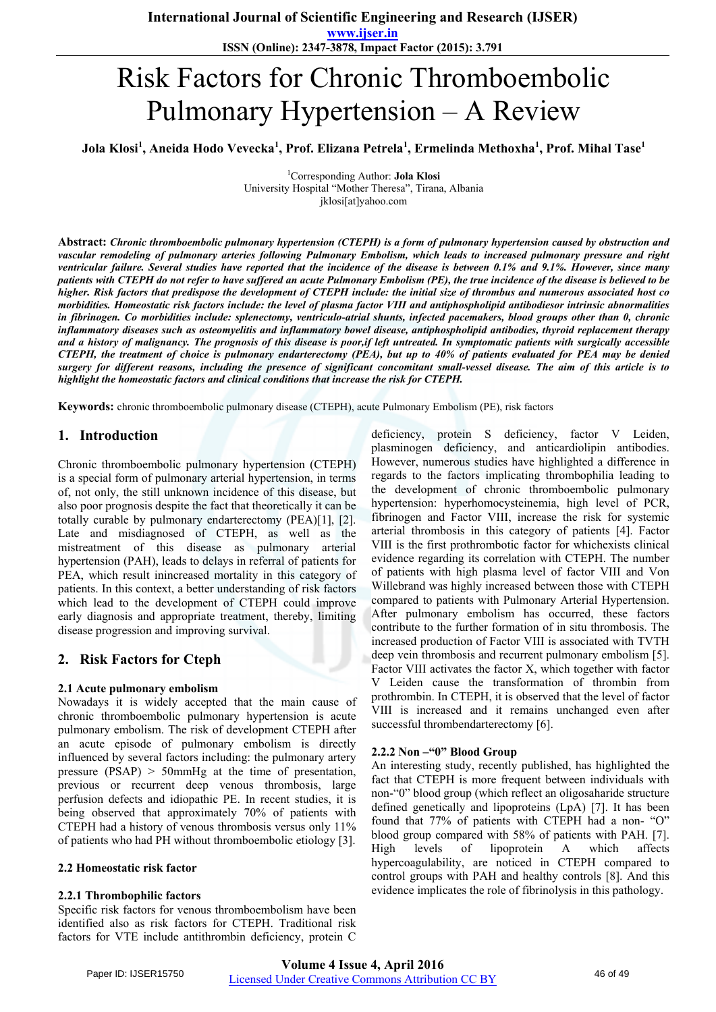**www.ijser.in ISSN (Online): 2347-3878, Impact Factor (2015): 3.791**

# Risk Factors for Chronic Thromboembolic Pulmonary Hypertension – A Review

**Jola Klosi<sup>1</sup> , Aneida Hodo Vevecka<sup>1</sup> , Prof. Elizana Petrela<sup>1</sup> , Ermelinda Methoxha<sup>1</sup> , Prof. Mihal Tase<sup>1</sup>**

1 Corresponding Author: **Jola Klosi** University Hospital "Mother Theresa", Tirana, Albania jklosi[at]yahoo.com

**Abstract:** *Chronic thromboembolic pulmonary hypertension (CTEPH) is a form of pulmonary hypertension caused by obstruction and vascular remodeling of pulmonary arteries following Pulmonary Embolism, which leads to increased pulmonary pressure and right ventricular failure. Several studies have reported that the incidence of the disease is between 0.1% and 9.1%. However, since many patients with CTEPH do not refer to have suffered an acute Pulmonary Embolism (PE), the true incidence of the disease is believed to be higher. Risk factors that predispose the development of CTEPH include: the initial size of thrombus and numerous associated host co morbidities. Homeostatic risk factors include: the level of plasma factor VIII and antiphospholipid antibodiesor intrinsic abnormalities in fibrinogen. Co morbidities include: splenectomy, ventriculo-atrial shunts, infected pacemakers, blood groups other than 0, chronic inflammatory diseases such as osteomyelitis and inflammatory bowel disease, antiphospholipid antibodies, thyroid replacement therapy and a history of malignancy. The prognosis of this disease is poor,if left untreated. In symptomatic patients with surgically accessible CTEPH, the treatment of choice is pulmonary endarterectomy (PEA), but up to 40% of patients evaluated for PEA may be denied surgery for different reasons, including the presence of significant concomitant small-vessel disease. The aim of this article is to highlight the homeostatic factors and clinical conditions that increase the risk for CTEPH.* 

**Keywords:** chronic thromboembolic pulmonary disease (CTEPH), acute Pulmonary Embolism (PE), risk factors

## **1. Introduction**

Chronic thromboembolic pulmonary hypertension (CTEPH) is a special form of pulmonary arterial hypertension, in terms of, not only, the still unknown incidence of this disease, but also poor prognosis despite the fact that theoretically it can be totally curable by pulmonary endarterectomy (PEA)[1], [2]. Late and misdiagnosed of CTEPH, as well as the mistreatment of this disease as pulmonary arterial hypertension (PAH), leads to delays in referral of patients for PEA, which result inincreased mortality in this category of patients. In this context, a better understanding of risk factors which lead to the development of CTEPH could improve early diagnosis and appropriate treatment, thereby, limiting disease progression and improving survival.

# **2. Risk Factors for Cteph**

#### **2.1 Acute pulmonary embolism**

Nowadays it is widely accepted that the main cause of chronic thromboembolic pulmonary hypertension is acute pulmonary embolism. The risk of development CTEPH after an acute episode of pulmonary embolism is directly influenced by several factors including: the pulmonary artery pressure (PSAP) > 50mmHg at the time of presentation, previous or recurrent deep venous thrombosis, large perfusion defects and idiopathic PE. In recent studies, it is being observed that approximately 70% of patients with CTEPH had a history of venous thrombosis versus only 11% of patients who had PH without thromboembolic etiology [3].

#### **2.2 Homeostatic risk factor**

#### **2.2.1 Thrombophilic factors**

Specific risk factors for venous thromboembolism have been identified also as risk factors for CTEPH. Traditional risk factors for VTE include antithrombin deficiency, protein C

deficiency, protein S deficiency, factor V Leiden, plasminogen deficiency, and anticardiolipin antibodies. However, numerous studies have highlighted a difference in regards to the factors implicating thrombophilia leading to the development of chronic thromboembolic pulmonary hypertension: hyperhomocysteinemia, high level of PCR, fibrinogen and Factor VIII, increase the risk for systemic arterial thrombosis in this category of patients [4]. Factor VIII is the first prothrombotic factor for whichexists clinical evidence regarding its correlation with CTEPH. The number of patients with high plasma level of factor VIII and Von Willebrand was highly increased between those with CTEPH compared to patients with Pulmonary Arterial Hypertension. After pulmonary embolism has occurred, these factors contribute to the further formation of in situ thrombosis. The increased production of Factor VIII is associated with TVTH deep vein thrombosis and recurrent pulmonary embolism [5]. Factor VIII activates the factor X, which together with factor V Leiden cause the transformation of thrombin from prothrombin. In CTEPH, it is observed that the level of factor VIII is increased and it remains unchanged even after successful thrombendarterectomy [6].

#### **2.2.2 Non –"0" Blood Group**

An interesting study, recently published, has highlighted the fact that CTEPH is more frequent between individuals with non-"0" blood group (which reflect an oligosaharide structure defined genetically and lipoproteins (LpA) [7]. It has been found that 77% of patients with CTEPH had a non- "O" blood group compared with 58% of patients with PAH. [7]. High levels of lipoprotein A which affects hypercoagulability, are noticed in CTEPH compared to control groups with PAH and healthy controls [8]. And this evidence implicates the role of fibrinolysis in this pathology.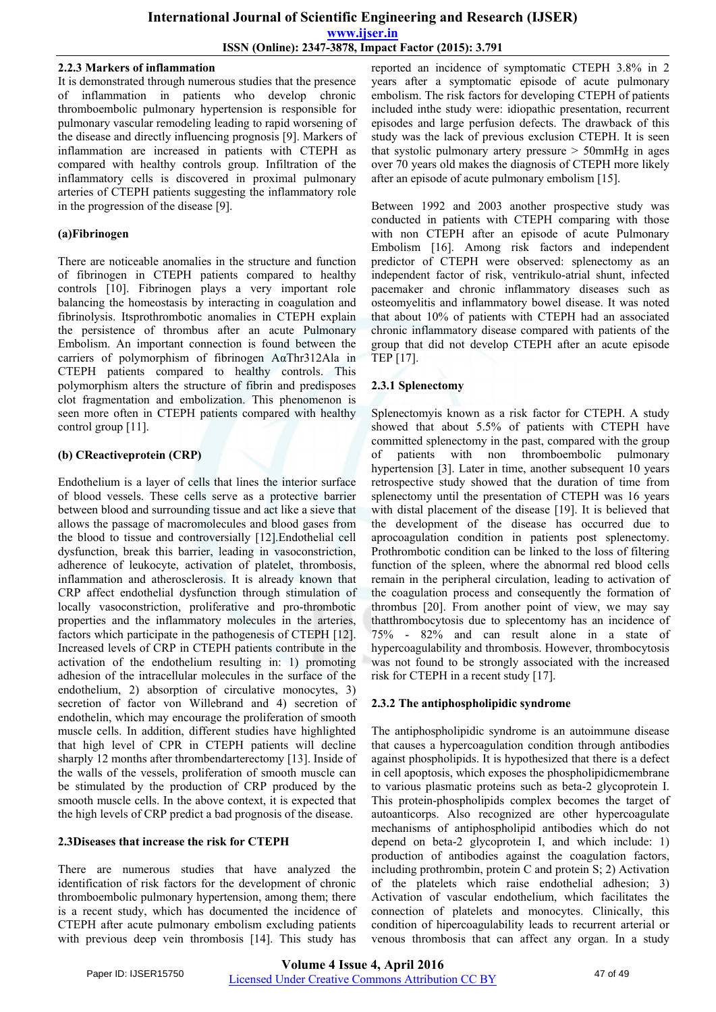#### **2.2.3 Markers of inflammation**

It is demonstrated through numerous studies that the presence of inflammation in patients who develop chronic thromboembolic pulmonary hypertension is responsible for pulmonary vascular remodeling leading to rapid worsening of the disease and directly influencing prognosis [9]. Markers of inflammation are increased in patients with CTEPH as compared with healthy controls group. Infiltration of the inflammatory cells is discovered in proximal pulmonary arteries of CTEPH patients suggesting the inflammatory role in the progression of the disease [9].

## **(a)Fibrinogen**

There are noticeable anomalies in the structure and function of fibrinogen in CTEPH patients compared to healthy controls [10]. Fibrinogen plays a very important role balancing the homeostasis by interacting in coagulation and fibrinolysis. Itsprothrombotic anomalies in CTEPH explain the persistence of thrombus after an acute Pulmonary Embolism. An important connection is found between the carriers of polymorphism of fibrinogen AαThr312Ala in CTEPH patients compared to healthy controls. This polymorphism alters the structure of fibrin and predisposes clot fragmentation and embolization. This phenomenon is seen more often in CTEPH patients compared with healthy control group [11].

## **(b) CReactiveprotein (CRP)**

Endothelium is a layer of cells that lines the interior surface of blood vessels. These cells serve as a protective barrier between blood and surrounding tissue and act like a sieve that allows the passage of macromolecules and blood gases from the blood to tissue and controversially [12].Endothelial cell dysfunction, break this barrier, leading in vasoconstriction, adherence of leukocyte, activation of platelet, thrombosis, inflammation and atherosclerosis. It is already known that CRP affect endothelial dysfunction through stimulation of locally vasoconstriction, proliferative and pro-thrombotic properties and the inflammatory molecules in the arteries, factors which participate in the pathogenesis of CTEPH [12]. Increased levels of CRP in CTEPH patients contribute in the activation of the endothelium resulting in: 1) promoting adhesion of the intracellular molecules in the surface of the endothelium, 2) absorption of circulative monocytes, 3) secretion of factor von Willebrand and 4) secretion of endothelin, which may encourage the proliferation of smooth muscle cells. In addition, different studies have highlighted that high level of CPR in CTEPH patients will decline sharply 12 months after thrombendarterectomy [13]. Inside of the walls of the vessels, proliferation of smooth muscle can be stimulated by the production of CRP produced by the smooth muscle cells. In the above context, it is expected that the high levels of CRP predict a bad prognosis of the disease.

#### **2.3Diseases that increase the risk for CTEPH**

There are numerous studies that have analyzed the identification of risk factors for the development of chronic thromboembolic pulmonary hypertension, among them; there is a recent study, which has documented the incidence of CTEPH after acute pulmonary embolism excluding patients with previous deep vein thrombosis [14]. This study has reported an incidence of symptomatic CTEPH 3.8% in 2 years after a symptomatic episode of acute pulmonary embolism. The risk factors for developing CTEPH of patients included inthe study were: idiopathic presentation, recurrent episodes and large perfusion defects. The drawback of this study was the lack of previous exclusion CTEPH. It is seen that systolic pulmonary artery pressure > 50mmHg in ages over 70 years old makes the diagnosis of CTEPH more likely after an episode of acute pulmonary embolism [15].

Between 1992 and 2003 another prospective study was conducted in patients with CTEPH comparing with those with non CTEPH after an episode of acute Pulmonary Embolism [16]. Among risk factors and independent predictor of CTEPH were observed: splenectomy as an independent factor of risk, ventrikulo-atrial shunt, infected pacemaker and chronic inflammatory diseases such as osteomyelitis and inflammatory bowel disease. It was noted that about 10% of patients with CTEPH had an associated chronic inflammatory disease compared with patients of the group that did not develop CTEPH after an acute episode TEP [17].

## **2.3.1 Splenectomy**

Splenectomyis known as a risk factor for CTEPH. A study showed that about 5.5% of patients with CTEPH have committed splenectomy in the past, compared with the group of patients with non thromboembolic pulmonary hypertension [3]. Later in time, another subsequent 10 years retrospective study showed that the duration of time from splenectomy until the presentation of CTEPH was 16 years with distal placement of the disease [19]. It is believed that the development of the disease has occurred due to aprocoagulation condition in patients post splenectomy. Prothrombotic condition can be linked to the loss of filtering function of the spleen, where the abnormal red blood cells remain in the peripheral circulation, leading to activation of the coagulation process and consequently the formation of thrombus [20]. From another point of view, we may say thatthrombocytosis due to splecentomy has an incidence of 75% - 82% and can result alone in a state of hypercoagulability and thrombosis. However, thrombocytosis was not found to be strongly associated with the increased risk for CTEPH in a recent study [17].

## **2.3.2 The antiphospholipidic syndrome**

The antiphospholipidic syndrome is an autoimmune disease that causes a hypercoagulation condition through antibodies against phospholipids. It is hypothesized that there is a defect in cell apoptosis, which exposes the phospholipidicmembrane to various plasmatic proteins such as beta-2 glycoprotein I. This protein-phospholipids complex becomes the target of autoanticorps. Also recognized are other hypercoagulate mechanisms of antiphospholipid antibodies which do not depend on beta-2 glycoprotein I, and which include: 1) production of antibodies against the coagulation factors, including prothrombin, protein C and protein S; 2) Activation of the platelets which raise endothelial adhesion; 3) Activation of vascular endothelium, which facilitates the connection of platelets and monocytes. Clinically, this condition of hipercoagulability leads to recurrent arterial or venous thrombosis that can affect any organ. In a study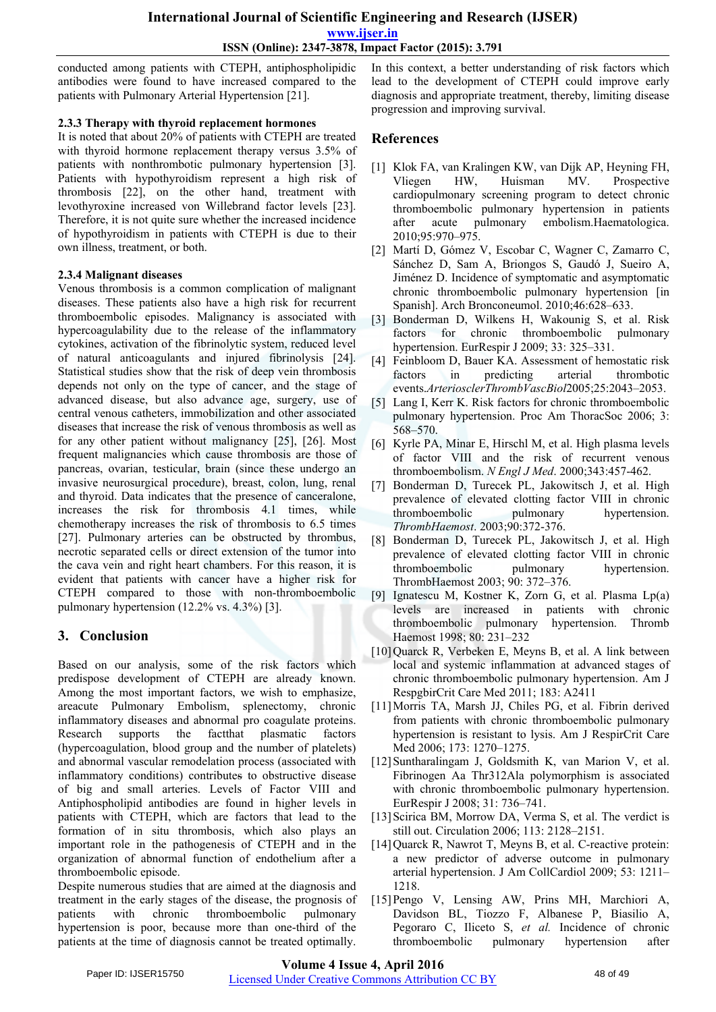conducted among patients with CTEPH, antiphospholipidic antibodies were found to have increased compared to the patients with Pulmonary Arterial Hypertension [21].

### **2.3.3 Therapy with thyroid replacement hormones**

It is noted that about 20% of patients with CTEPH are treated with thyroid hormone replacement therapy versus 3.5% of patients with nonthrombotic pulmonary hypertension [3]. Patients with hypothyroidism represent a high risk of thrombosis [22], on the other hand, treatment with levothyroxine increased von Willebrand factor levels [23]. Therefore, it is not quite sure whether the increased incidence of hypothyroidism in patients with CTEPH is due to their own illness, treatment, or both.

### **2.3.4 Malignant diseases**

Venous thrombosis is a common complication of malignant diseases. These patients also have a high risk for recurrent thromboembolic episodes. Malignancy is associated with hypercoagulability due to the release of the inflammatory cytokines, activation of the fibrinolytic system, reduced level of natural anticoagulants and injured fibrinolysis [24]. Statistical studies show that the risk of deep vein thrombosis depends not only on the type of cancer, and the stage of advanced disease, but also advance age, surgery, use of central venous catheters, immobilization and other associated diseases that increase the risk of venous thrombosis as well as for any other patient without malignancy [25], [26]. Most frequent malignancies which cause thrombosis are those of pancreas, ovarian, testicular, brain (since these undergo an invasive neurosurgical procedure), breast, colon, lung, renal and thyroid. Data indicates that the presence of canceralone, increases the risk for thrombosis 4.1 times, while chemotherapy increases the risk of thrombosis to 6.5 times [27]. Pulmonary arteries can be obstructed by thrombus, necrotic separated cells or direct extension of the tumor into the cava vein and right heart chambers. For this reason, it is evident that patients with cancer have a higher risk for CTEPH compared to those with non-thromboembolic pulmonary hypertension (12.2% vs. 4.3%) [3].

# **3. Conclusion**

Based on our analysis, some of the risk factors which predispose development of CTEPH are already known. Among the most important factors, we wish to emphasize, areacute Pulmonary Embolism, splenectomy, chronic inflammatory diseases and abnormal pro coagulate proteins. Research supports the factthat plasmatic factors (hypercoagulation, blood group and the number of platelets) and abnormal vascular remodelation process (associated with inflammatory conditions) contributes to obstructive disease of big and small arteries. Levels of Factor VIII and Antiphospholipid antibodies are found in higher levels in patients with CTEPH, which are factors that lead to the formation of in situ thrombosis, which also plays an important role in the pathogenesis of CTEPH and in the organization of abnormal function of endothelium after a thromboembolic episode.

Despite numerous studies that are aimed at the diagnosis and treatment in the early stages of the disease, the prognosis of patients with chronic thromboembolic pulmonary hypertension is poor, because more than one-third of the patients at the time of diagnosis cannot be treated optimally. In this context, a better understanding of risk factors which lead to the development of CTEPH could improve early diagnosis and appropriate treatment, thereby, limiting disease progression and improving survival.

## **References**

- [1] Klok FA, van Kralingen KW, van Dijk AP, Heyning FH, Vliegen HW, Huisman MV. Prospective cardiopulmonary screening program to detect chronic thromboembolic pulmonary hypertension in patients after acute pulmonary embolism.Haematologica. 2010;95:970–975.
- [2] Martí D, Gómez V, Escobar C, Wagner C, Zamarro C, Sánchez D, Sam A, Briongos S, Gaudó J, Sueiro A, Jiménez D. Incidence of symptomatic and asymptomatic chronic thromboembolic pulmonary hypertension [in Spanish]. Arch Bronconeumol. 2010;46:628–633.
- [3] Bonderman D, Wilkens H, Wakounig S, et al. Risk factors for chronic thromboembolic pulmonary hypertension. EurRespir J 2009; 33: 325–331.
- [4] Feinbloom D, Bauer KA. Assessment of hemostatic risk factors in predicting arterial thrombotic events.*ArteriosclerThrombVascBiol*2005;25:2043–2053.
- [5] Lang I, Kerr K. Risk factors for chronic thromboembolic pulmonary hypertension. Proc Am ThoracSoc 2006; 3: 568–570.
- [6] Kyrle PA, Minar E, Hirschl M, et al. High plasma levels of factor VIII and the risk of recurrent venous thromboembolism. *N Engl J Med*. 2000;343:457-462.
- Bonderman D, Turecek PL, Jakowitsch J, et al. High prevalence of elevated clotting factor VIII in chronic thromboembolic pulmonary hypertension. *ThrombHaemost*. 2003;90:372-376.
- [8] Bonderman D, Turecek PL, Jakowitsch J, et al. High prevalence of elevated clotting factor VIII in chronic thromboembolic pulmonary hypertension. ThrombHaemost 2003; 90: 372–376.
- [9] Ignatescu M, Kostner K, Zorn G, et al. Plasma Lp(a) levels are increased in patients with chronic thromboembolic pulmonary hypertension. Thromb Haemost 1998; 80: 231–232
- [10] Quarck R, Verbeken E, Meyns B, et al. A link between local and systemic inflammation at advanced stages of chronic thromboembolic pulmonary hypertension. Am J RespgbirCrit Care Med 2011; 183: A2411
- [11]Morris TA, Marsh JJ, Chiles PG, et al. Fibrin derived from patients with chronic thromboembolic pulmonary hypertension is resistant to lysis. Am J RespirCrit Care Med 2006; 173: 1270–1275.
- [12] Suntharalingam J, Goldsmith K, van Marion V, et al. Fibrinogen Aa Thr312Ala polymorphism is associated with chronic thromboembolic pulmonary hypertension. EurRespir J 2008; 31: 736–741.
- [13] Scirica BM, Morrow DA, Verma S, et al. The verdict is still out. Circulation 2006; 113: 2128–2151.
- [14] Quarck R, Nawrot T, Meyns B, et al. C-reactive protein: a new predictor of adverse outcome in pulmonary arterial hypertension. J Am CollCardiol 2009; 53: 1211– 1218.
- [15]Pengo V, Lensing AW, Prins MH, Marchiori A, Davidson BL, Tiozzo F, Albanese P, Biasilio A, Pegoraro C, Iliceto S, *et al.* Incidence of chronic thromboembolic pulmonary hypertension after